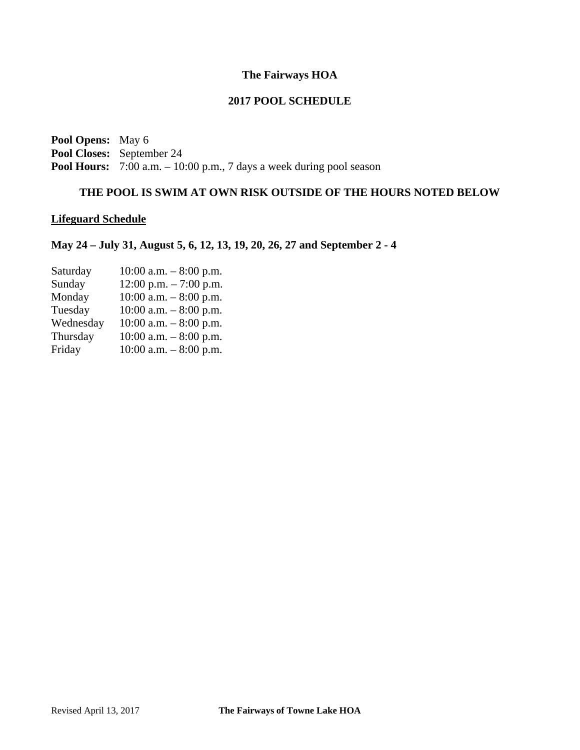# **The Fairways HOA**

# **2017 POOL SCHEDULE**

**Pool Opens:** May 6 **Pool Closes:** September 24 **Pool Hours:** 7:00 a.m. – 10:00 p.m., 7 days a week during pool season

# **THE POOL IS SWIM AT OWN RISK OUTSIDE OF THE HOURS NOTED BELOW**

## **Lifeguard Schedule**

# **May 24 – July 31, August 5, 6, 12, 13, 19, 20, 26, 27 and September 2 - 4**

| $10:00$ a.m. $-8:00$ p.m. |
|---------------------------|
| $12:00$ p.m. $-7:00$ p.m. |
| $10:00$ a.m. $-8:00$ p.m. |
| $10:00$ a.m. $-8:00$ p.m. |
| $10:00$ a.m. $-8:00$ p.m. |
| $10:00$ a.m. $-8:00$ p.m. |
| $10:00$ a.m. $-8:00$ p.m. |
|                           |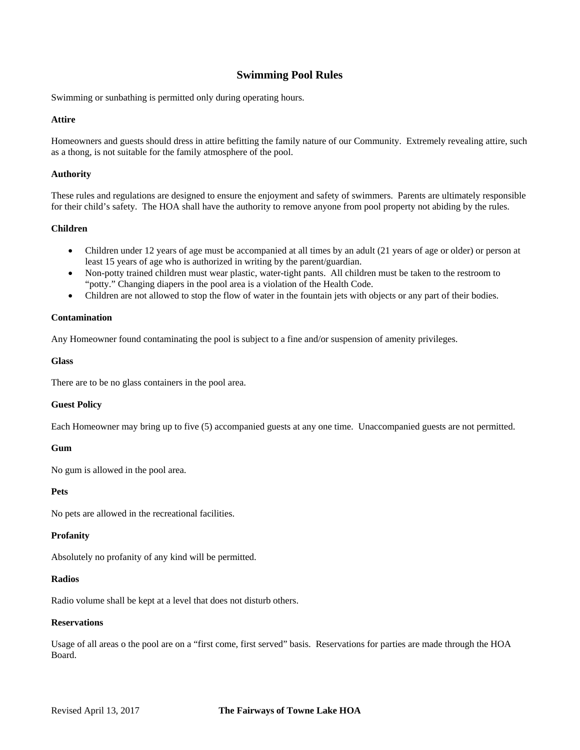## **Swimming Pool Rules**

Swimming or sunbathing is permitted only during operating hours.

### **Attire**

Homeowners and guests should dress in attire befitting the family nature of our Community. Extremely revealing attire, such as a thong, is not suitable for the family atmosphere of the pool.

#### **Authority**

These rules and regulations are designed to ensure the enjoyment and safety of swimmers. Parents are ultimately responsible for their child's safety. The HOA shall have the authority to remove anyone from pool property not abiding by the rules.

#### **Children**

- Children under 12 years of age must be accompanied at all times by an adult (21 years of age or older) or person at least 15 years of age who is authorized in writing by the parent/guardian.
- Non-potty trained children must wear plastic, water-tight pants. All children must be taken to the restroom to "potty." Changing diapers in the pool area is a violation of the Health Code.
- Children are not allowed to stop the flow of water in the fountain jets with objects or any part of their bodies.

#### **Contamination**

Any Homeowner found contaminating the pool is subject to a fine and/or suspension of amenity privileges.

#### **Glass**

There are to be no glass containers in the pool area.

### **Guest Policy**

Each Homeowner may bring up to five (5) accompanied guests at any one time. Unaccompanied guests are not permitted.

### **Gum**

No gum is allowed in the pool area.

### **Pets**

No pets are allowed in the recreational facilities.

### **Profanity**

Absolutely no profanity of any kind will be permitted.

#### **Radios**

Radio volume shall be kept at a level that does not disturb others.

#### **Reservations**

Usage of all areas o the pool are on a "first come, first served" basis. Reservations for parties are made through the HOA Board.